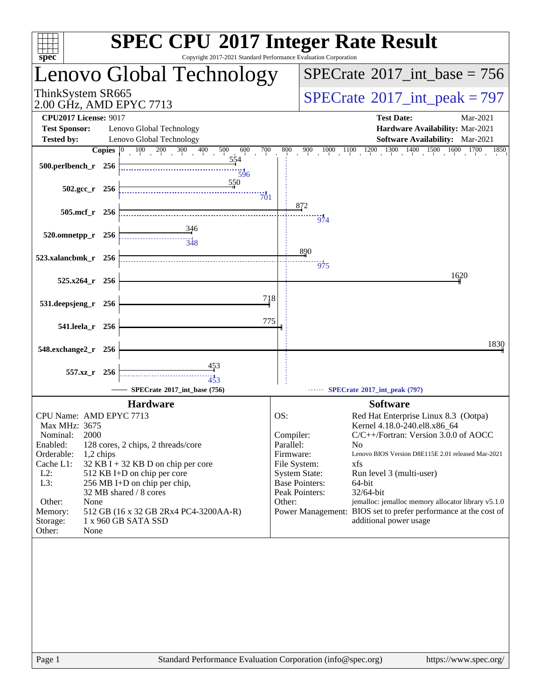| Copyright 2017-2021 Standard Performance Evaluation Corporation<br>$spec^*$                                                                                                                                                                                                                                                                                                                                                         | <b>SPEC CPU®2017 Integer Rate Result</b>                                                                                                                                                                                                                                                                                                                                                                                                                                                                                                        |
|-------------------------------------------------------------------------------------------------------------------------------------------------------------------------------------------------------------------------------------------------------------------------------------------------------------------------------------------------------------------------------------------------------------------------------------|-------------------------------------------------------------------------------------------------------------------------------------------------------------------------------------------------------------------------------------------------------------------------------------------------------------------------------------------------------------------------------------------------------------------------------------------------------------------------------------------------------------------------------------------------|
| Lenovo Global Technology                                                                                                                                                                                                                                                                                                                                                                                                            | $SPECTate$ <sup>®</sup> 2017_int_base = 756                                                                                                                                                                                                                                                                                                                                                                                                                                                                                                     |
| ThinkSystem SR665<br>2.00 GHz, AMD EPYC 7713                                                                                                                                                                                                                                                                                                                                                                                        | $SPECrate^{\circ}2017\_int\_peak = 797$                                                                                                                                                                                                                                                                                                                                                                                                                                                                                                         |
| <b>CPU2017 License: 9017</b><br><b>Test Sponsor:</b><br>Lenovo Global Technology                                                                                                                                                                                                                                                                                                                                                    | <b>Test Date:</b><br>Mar-2021<br>Hardware Availability: Mar-2021                                                                                                                                                                                                                                                                                                                                                                                                                                                                                |
| Lenovo Global Technology<br><b>Tested by:</b>                                                                                                                                                                                                                                                                                                                                                                                       | <b>Software Availability:</b> Mar-2021                                                                                                                                                                                                                                                                                                                                                                                                                                                                                                          |
| <b>Copies</b> $\begin{bmatrix} 0 & 100 & 200 & 300 \end{bmatrix}$<br>400<br>700<br>500<br>600                                                                                                                                                                                                                                                                                                                                       | $900\qquad 1000\qquad 1100\qquad 1200\qquad 1300\qquad 1400\qquad 1500\qquad 1600\qquad 1700$<br>800<br>1850                                                                                                                                                                                                                                                                                                                                                                                                                                    |
| 554<br>500.perlbench_r 256<br>$\overline{596}$                                                                                                                                                                                                                                                                                                                                                                                      |                                                                                                                                                                                                                                                                                                                                                                                                                                                                                                                                                 |
| 550<br>$502.\text{gcc r}$ 256<br>$\overline{70}1$                                                                                                                                                                                                                                                                                                                                                                                   |                                                                                                                                                                                                                                                                                                                                                                                                                                                                                                                                                 |
| $505$ .mcf_r<br>256                                                                                                                                                                                                                                                                                                                                                                                                                 | 872<br>$\frac{1}{974}$                                                                                                                                                                                                                                                                                                                                                                                                                                                                                                                          |
| 520.omnetpp_r<br>256<br>$\frac{1}{348}$                                                                                                                                                                                                                                                                                                                                                                                             |                                                                                                                                                                                                                                                                                                                                                                                                                                                                                                                                                 |
| 523.xalancbmk_r 256                                                                                                                                                                                                                                                                                                                                                                                                                 | 890<br>975                                                                                                                                                                                                                                                                                                                                                                                                                                                                                                                                      |
| 525.x264_r 256                                                                                                                                                                                                                                                                                                                                                                                                                      | 1620                                                                                                                                                                                                                                                                                                                                                                                                                                                                                                                                            |
| 718<br>531.deepsjeng_r<br>256                                                                                                                                                                                                                                                                                                                                                                                                       |                                                                                                                                                                                                                                                                                                                                                                                                                                                                                                                                                 |
| 775<br>541.leela_r 256                                                                                                                                                                                                                                                                                                                                                                                                              |                                                                                                                                                                                                                                                                                                                                                                                                                                                                                                                                                 |
| 548.exchange2_r 256                                                                                                                                                                                                                                                                                                                                                                                                                 | 1830                                                                                                                                                                                                                                                                                                                                                                                                                                                                                                                                            |
| <u>453</u><br>557.xz_r 256<br>453                                                                                                                                                                                                                                                                                                                                                                                                   |                                                                                                                                                                                                                                                                                                                                                                                                                                                                                                                                                 |
| SPECrate®2017_int_base (756)                                                                                                                                                                                                                                                                                                                                                                                                        | ------ SPECrate®2017_int_peak (797)                                                                                                                                                                                                                                                                                                                                                                                                                                                                                                             |
| <b>Hardware</b>                                                                                                                                                                                                                                                                                                                                                                                                                     | <b>Software</b>                                                                                                                                                                                                                                                                                                                                                                                                                                                                                                                                 |
| CPU Name: AMD EPYC 7713<br>Max MHz: 3675<br>2000<br>Nominal:<br>Enabled:<br>128 cores, 2 chips, 2 threads/core<br>Orderable:<br>1,2 chips<br>Cache L1:<br>$32$ KB I + 32 KB D on chip per core<br>$L2$ :<br>512 KB I+D on chip per core<br>L3:<br>256 MB I+D on chip per chip,<br>32 MB shared / 8 cores<br>Other:<br>None<br>512 GB (16 x 32 GB 2Rx4 PC4-3200AA-R)<br>Memory:<br>1 x 960 GB SATA SSD<br>Storage:<br>Other:<br>None | OS:<br>Red Hat Enterprise Linux 8.3 (Ootpa)<br>Kernel 4.18.0-240.el8.x86_64<br>Compiler:<br>$C/C++/Fortran$ : Version 3.0.0 of AOCC<br>Parallel:<br>N <sub>0</sub><br>Firmware:<br>Lenovo BIOS Version D8E115E 2.01 released Mar-2021<br>File System:<br>xfs<br><b>System State:</b><br>Run level 3 (multi-user)<br><b>Base Pointers:</b><br>64-bit<br>Peak Pointers:<br>32/64-bit<br>jemalloc: jemalloc memory allocator library v5.1.0<br>Other:<br>Power Management: BIOS set to prefer performance at the cost of<br>additional power usage |
| Standard Performance Evaluation Corporation (info@spec.org)<br>Page 1                                                                                                                                                                                                                                                                                                                                                               | https://www.spec.org/                                                                                                                                                                                                                                                                                                                                                                                                                                                                                                                           |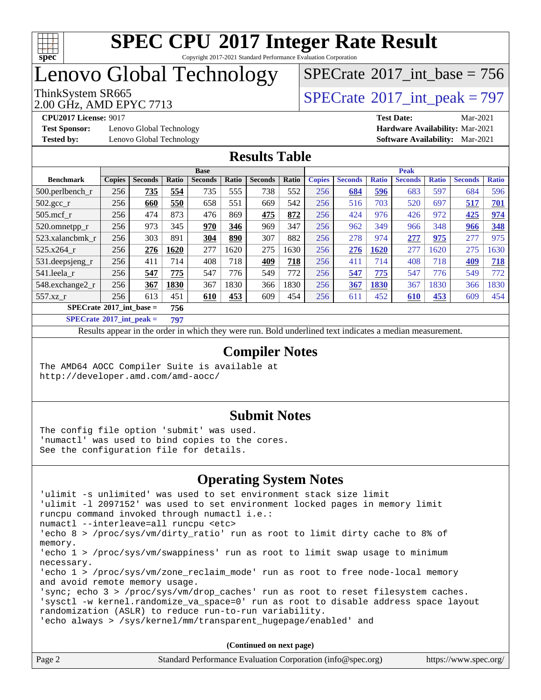

#### **[SPEC CPU](http://www.spec.org/auto/cpu2017/Docs/result-fields.html#SPECCPU2017IntegerRateResult)[2017 Integer Rate Result](http://www.spec.org/auto/cpu2017/Docs/result-fields.html#SPECCPU2017IntegerRateResult)** Copyright 2017-2021 Standard Performance Evaluation Corporation

# Lenovo Global Technology

 $SPECrate$ <sup>®</sup>[2017\\_int\\_base =](http://www.spec.org/auto/cpu2017/Docs/result-fields.html#SPECrate2017intbase) 756

2.00 GHz, AMD EPYC 7713

ThinkSystem SR665<br>2.00 GHz AMD EPYC 7713

**[Test Sponsor:](http://www.spec.org/auto/cpu2017/Docs/result-fields.html#TestSponsor)** Lenovo Global Technology **[Hardware Availability:](http://www.spec.org/auto/cpu2017/Docs/result-fields.html#HardwareAvailability)** Mar-2021 **[Tested by:](http://www.spec.org/auto/cpu2017/Docs/result-fields.html#Testedby)** Lenovo Global Technology **[Software Availability:](http://www.spec.org/auto/cpu2017/Docs/result-fields.html#SoftwareAvailability)** Mar-2021

**[CPU2017 License:](http://www.spec.org/auto/cpu2017/Docs/result-fields.html#CPU2017License)** 9017 **[Test Date:](http://www.spec.org/auto/cpu2017/Docs/result-fields.html#TestDate)** Mar-2021

#### **[Results Table](http://www.spec.org/auto/cpu2017/Docs/result-fields.html#ResultsTable)**

|                      | <b>Base</b>                              |                |              |                |       |                | <b>Peak</b> |               |                |              |                |              |                |              |
|----------------------|------------------------------------------|----------------|--------------|----------------|-------|----------------|-------------|---------------|----------------|--------------|----------------|--------------|----------------|--------------|
| <b>Benchmark</b>     | <b>Copies</b>                            | <b>Seconds</b> | <b>Ratio</b> | <b>Seconds</b> | Ratio | <b>Seconds</b> | Ratio       | <b>Copies</b> | <b>Seconds</b> | <b>Ratio</b> | <b>Seconds</b> | <b>Ratio</b> | <b>Seconds</b> | <b>Ratio</b> |
| $500.$ perlbench_r   | 256                                      | 735            | 554          | 735            | 555   | 738            | 552         | 256           | 684            | 596          | 683            | 597          | 684            | 596          |
| $502.\text{gcc}_{r}$ | 256                                      | 660            | 550          | 658            | 551   | 669            | 542         | 256           | 516            | 703          | 520            | 697          | 517            | 701          |
| $505$ .mcf r         | 256                                      | 474            | 873          | 476            | 869   | 475            | 872         | 256           | 424            | 976          | 426            | 972          | 425            | 974          |
| 520.omnetpp_r        | 256                                      | 973            | 345          | 970            | 346   | 969            | 347         | 256           | 962            | 349          | 966            | 348          | 966            | 348          |
| 523.xalancbmk r      | 256                                      | 303            | 891          | 304            | 890   | 307            | 882         | 256           | 278            | 974          | 277            | 975          | 277            | 975          |
| 525.x264 r           | 256                                      | 276            | 1620         | 277            | 1620  | 275            | 1630        | 256           | 276            | 1620         | 277            | 1620         | 275            | 1630         |
| 531.deepsjeng_r      | 256                                      | 411            | 714          | 408            | 718   | 409            | 718         | 256           | 411            | 714          | 408            | 718          | 409            | 718          |
| 541.leela r          | 256                                      | 547            | 775          | 547            | 776   | 549            | 772         | 256           | 547            | 775          | 547            | 776          | 549            | 772          |
| 548.exchange2_r      | 256                                      | 367            | 1830         | 367            | 1830  | 366            | 1830        | 256           | 367            | 1830         | 367            | 1830         | 366            | 1830         |
| 557.xz r             | 256                                      | 613            | 451          | 610            | 453   | 609            | 454         | 256           | 611            | 452          | 610            | 453          | 609            | 454          |
|                      | $SPECrate^{\circ}2017$ int base =<br>756 |                |              |                |       |                |             |               |                |              |                |              |                |              |

**[SPECrate](http://www.spec.org/auto/cpu2017/Docs/result-fields.html#SPECrate2017intpeak)[2017\\_int\\_peak =](http://www.spec.org/auto/cpu2017/Docs/result-fields.html#SPECrate2017intpeak) 797**

Results appear in the [order in which they were run](http://www.spec.org/auto/cpu2017/Docs/result-fields.html#RunOrder). Bold underlined text [indicates a median measurement](http://www.spec.org/auto/cpu2017/Docs/result-fields.html#Median).

#### **[Compiler Notes](http://www.spec.org/auto/cpu2017/Docs/result-fields.html#CompilerNotes)**

The AMD64 AOCC Compiler Suite is available at <http://developer.amd.com/amd-aocc/>

#### **[Submit Notes](http://www.spec.org/auto/cpu2017/Docs/result-fields.html#SubmitNotes)**

The config file option 'submit' was used. 'numactl' was used to bind copies to the cores. See the configuration file for details.

#### **[Operating System Notes](http://www.spec.org/auto/cpu2017/Docs/result-fields.html#OperatingSystemNotes)**

| 'ulimit -s unlimited' was used to set environment stack size limit                  |  |  |  |  |  |  |
|-------------------------------------------------------------------------------------|--|--|--|--|--|--|
| 'ulimit -1 2097152' was used to set environment locked pages in memory limit        |  |  |  |  |  |  |
| runcpu command invoked through numactl i.e.:                                        |  |  |  |  |  |  |
| numactl --interleave=all runcpu <etc></etc>                                         |  |  |  |  |  |  |
| 'echo 8 > /proc/sys/vm/dirty_ratio' run as root to limit dirty cache to 8% of       |  |  |  |  |  |  |
| memory.                                                                             |  |  |  |  |  |  |
| 'echo $1$ > /proc/sys/vm/swappiness' run as root to limit swap usage to minimum     |  |  |  |  |  |  |
| necessary.                                                                          |  |  |  |  |  |  |
| 'echo $1$ > /proc/sys/vm/zone reclaim mode' run as root to free node-local memory   |  |  |  |  |  |  |
| and avoid remote memory usage.                                                      |  |  |  |  |  |  |
| 'sync; echo $3$ > /proc/sys/vm/drop caches' run as root to reset filesystem caches. |  |  |  |  |  |  |
| 'sysctl -w kernel.randomize_va_space=0' run as root to disable address space layout |  |  |  |  |  |  |
| randomization (ASLR) to reduce run-to-run variability.                              |  |  |  |  |  |  |
| 'echo always > /sys/kernel/mm/transparent_hugepage/enabled' and                     |  |  |  |  |  |  |
|                                                                                     |  |  |  |  |  |  |
| (Continued on next page)                                                            |  |  |  |  |  |  |

| Page 2 | Standard Performance Evaluation Corporation (info@spec.org) | https://www.spec.org/ |
|--------|-------------------------------------------------------------|-----------------------|
|--------|-------------------------------------------------------------|-----------------------|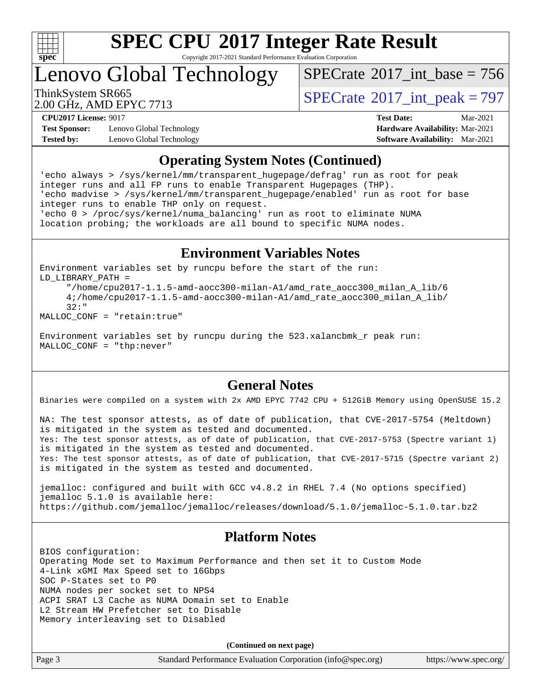

Copyright 2017-2021 Standard Performance Evaluation Corporation

Lenovo Global Technology

 $SPECTate$ <sup>®</sup>[2017\\_int\\_base =](http://www.spec.org/auto/cpu2017/Docs/result-fields.html#SPECrate2017intbase) 756

2.00 GHz, AMD EPYC 7713

ThinkSystem SR665<br>2.00 GHz, AMD EDVC 7713

**[Test Sponsor:](http://www.spec.org/auto/cpu2017/Docs/result-fields.html#TestSponsor)** Lenovo Global Technology **[Hardware Availability:](http://www.spec.org/auto/cpu2017/Docs/result-fields.html#HardwareAvailability)** Mar-2021 **[Tested by:](http://www.spec.org/auto/cpu2017/Docs/result-fields.html#Testedby)** Lenovo Global Technology **[Software Availability:](http://www.spec.org/auto/cpu2017/Docs/result-fields.html#SoftwareAvailability)** Mar-2021

**[CPU2017 License:](http://www.spec.org/auto/cpu2017/Docs/result-fields.html#CPU2017License)** 9017 **[Test Date:](http://www.spec.org/auto/cpu2017/Docs/result-fields.html#TestDate)** Mar-2021

#### **[Operating System Notes \(Continued\)](http://www.spec.org/auto/cpu2017/Docs/result-fields.html#OperatingSystemNotes)**

'echo always > /sys/kernel/mm/transparent\_hugepage/defrag' run as root for peak integer runs and all FP runs to enable Transparent Hugepages (THP). 'echo madvise > /sys/kernel/mm/transparent\_hugepage/enabled' run as root for base integer runs to enable THP only on request. 'echo 0 > /proc/sys/kernel/numa\_balancing' run as root to eliminate NUMA location probing; the workloads are all bound to specific NUMA nodes.

#### **[Environment Variables Notes](http://www.spec.org/auto/cpu2017/Docs/result-fields.html#EnvironmentVariablesNotes)**

Environment variables set by runcpu before the start of the run: LD\_LIBRARY\_PATH = "/home/cpu2017-1.1.5-amd-aocc300-milan-A1/amd\_rate\_aocc300\_milan\_A\_lib/6

 4;/home/cpu2017-1.1.5-amd-aocc300-milan-A1/amd\_rate\_aocc300\_milan\_A\_lib/ 32:"

MALLOC\_CONF = "retain:true"

Environment variables set by runcpu during the 523.xalancbmk\_r peak run: MALLOC\_CONF = "thp:never"

#### **[General Notes](http://www.spec.org/auto/cpu2017/Docs/result-fields.html#GeneralNotes)**

Binaries were compiled on a system with 2x AMD EPYC 7742 CPU + 512GiB Memory using OpenSUSE 15.2

NA: The test sponsor attests, as of date of publication, that CVE-2017-5754 (Meltdown) is mitigated in the system as tested and documented. Yes: The test sponsor attests, as of date of publication, that CVE-2017-5753 (Spectre variant 1) is mitigated in the system as tested and documented. Yes: The test sponsor attests, as of date of publication, that CVE-2017-5715 (Spectre variant 2) is mitigated in the system as tested and documented.

jemalloc: configured and built with GCC v4.8.2 in RHEL 7.4 (No options specified) jemalloc 5.1.0 is available here: <https://github.com/jemalloc/jemalloc/releases/download/5.1.0/jemalloc-5.1.0.tar.bz2>

#### **[Platform Notes](http://www.spec.org/auto/cpu2017/Docs/result-fields.html#PlatformNotes)**

BIOS configuration: Operating Mode set to Maximum Performance and then set it to Custom Mode 4-Link xGMI Max Speed set to 16Gbps SOC P-States set to P0 NUMA nodes per socket set to NPS4 ACPI SRAT L3 Cache as NUMA Domain set to Enable L2 Stream HW Prefetcher set to Disable Memory interleaving set to Disabled

**(Continued on next page)**

| Page 3 | Standard Performance Evaluation Corporation (info@spec.org) | https://www.spec.org/ |
|--------|-------------------------------------------------------------|-----------------------|
|--------|-------------------------------------------------------------|-----------------------|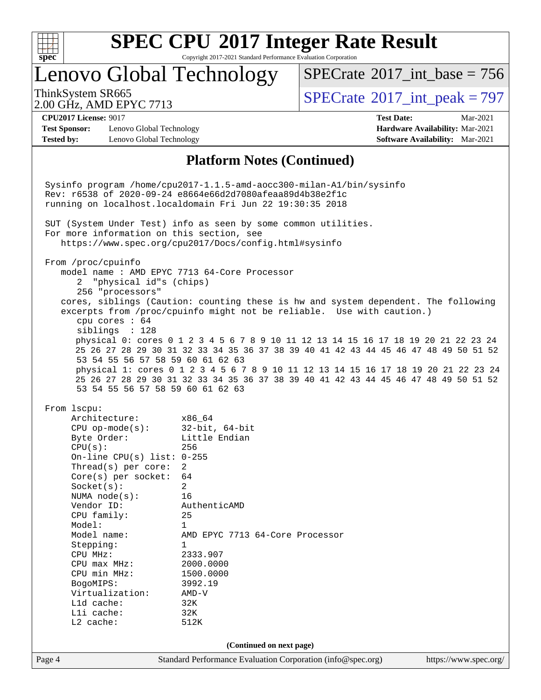

Copyright 2017-2021 Standard Performance Evaluation Corporation

### Lenovo Global Technology

ThinkSystem SR665<br>2.00 GHz, AMD EPVC 7713  $SPECTate$ <sup>®</sup>[2017\\_int\\_base =](http://www.spec.org/auto/cpu2017/Docs/result-fields.html#SPECrate2017intbase) 756

2.00 GHz, AMD EPYC 7713

**[Test Sponsor:](http://www.spec.org/auto/cpu2017/Docs/result-fields.html#TestSponsor)** Lenovo Global Technology **[Hardware Availability:](http://www.spec.org/auto/cpu2017/Docs/result-fields.html#HardwareAvailability)** Mar-2021 **[Tested by:](http://www.spec.org/auto/cpu2017/Docs/result-fields.html#Testedby)** Lenovo Global Technology **[Software Availability:](http://www.spec.org/auto/cpu2017/Docs/result-fields.html#SoftwareAvailability)** Mar-2021

**[CPU2017 License:](http://www.spec.org/auto/cpu2017/Docs/result-fields.html#CPU2017License)** 9017 **[Test Date:](http://www.spec.org/auto/cpu2017/Docs/result-fields.html#TestDate)** Mar-2021

#### **[Platform Notes \(Continued\)](http://www.spec.org/auto/cpu2017/Docs/result-fields.html#PlatformNotes)**

Page 4 Standard Performance Evaluation Corporation [\(info@spec.org\)](mailto:info@spec.org) <https://www.spec.org/> Sysinfo program /home/cpu2017-1.1.5-amd-aocc300-milan-A1/bin/sysinfo Rev: r6538 of 2020-09-24 e8664e66d2d7080afeaa89d4b38e2f1c running on localhost.localdomain Fri Jun 22 19:30:35 2018 SUT (System Under Test) info as seen by some common utilities. For more information on this section, see <https://www.spec.org/cpu2017/Docs/config.html#sysinfo> From /proc/cpuinfo model name : AMD EPYC 7713 64-Core Processor 2 "physical id"s (chips) 256 "processors" cores, siblings (Caution: counting these is hw and system dependent. The following excerpts from /proc/cpuinfo might not be reliable. Use with caution.) cpu cores : 64 siblings : 128 physical 0: cores 0 1 2 3 4 5 6 7 8 9 10 11 12 13 14 15 16 17 18 19 20 21 22 23 24 25 26 27 28 29 30 31 32 33 34 35 36 37 38 39 40 41 42 43 44 45 46 47 48 49 50 51 52 53 54 55 56 57 58 59 60 61 62 63 physical 1: cores 0 1 2 3 4 5 6 7 8 9 10 11 12 13 14 15 16 17 18 19 20 21 22 23 24 25 26 27 28 29 30 31 32 33 34 35 36 37 38 39 40 41 42 43 44 45 46 47 48 49 50 51 52 53 54 55 56 57 58 59 60 61 62 63 From lscpu: Architecture: x86\_64 CPU op-mode(s): 32-bit, 64-bit Byte Order: Little Endian CPU(s): 256 On-line CPU(s) list: 0-255 Thread(s) per core: 2 Core(s) per socket: 64 Socket(s): 2 NUMA node(s): 16 Vendor ID: AuthenticAMD CPU family: 25 Model: 1 Model name: AMD EPYC 7713 64-Core Processor Stepping: 1 CPU MHz: 2333.907 CPU max MHz: 2000.0000 CPU min MHz: 1500.0000 BogoMIPS: 3992.19<br>Virtualization: AMD-V Virtualization: L1d cache: 32K L1i cache: 32K L2 cache: 512K **(Continued on next page)**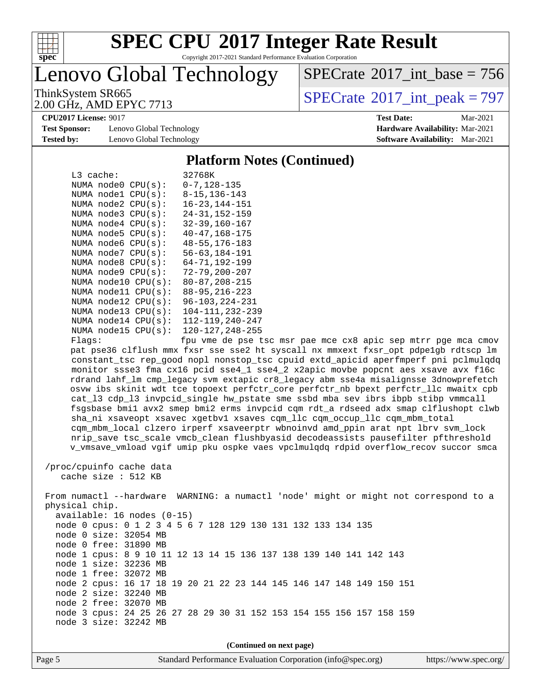

Copyright 2017-2021 Standard Performance Evaluation Corporation

Lenovo Global Technology

 $SPECTate$ <sup>®</sup>[2017\\_int\\_base =](http://www.spec.org/auto/cpu2017/Docs/result-fields.html#SPECrate2017intbase) 756

2.00 GHz, AMD EPYC 7713

ThinkSystem SR665<br>2.00 GHz, AMD EPYC 7713

**[Test Sponsor:](http://www.spec.org/auto/cpu2017/Docs/result-fields.html#TestSponsor)** Lenovo Global Technology **[Hardware Availability:](http://www.spec.org/auto/cpu2017/Docs/result-fields.html#HardwareAvailability)** Mar-2021 **[Tested by:](http://www.spec.org/auto/cpu2017/Docs/result-fields.html#Testedby)** Lenovo Global Technology **[Software Availability:](http://www.spec.org/auto/cpu2017/Docs/result-fields.html#SoftwareAvailability)** Mar-2021

**[CPU2017 License:](http://www.spec.org/auto/cpu2017/Docs/result-fields.html#CPU2017License)** 9017 **[Test Date:](http://www.spec.org/auto/cpu2017/Docs/result-fields.html#TestDate)** Mar-2021

#### **[Platform Notes \(Continued\)](http://www.spec.org/auto/cpu2017/Docs/result-fields.html#PlatformNotes)**

|        | $L3$ cache:              | 32768K               |
|--------|--------------------------|----------------------|
|        | NUMA node0 CPU(s):       | $0 - 7$ , 128-135    |
|        | NUMA nodel CPU(s):       | $8 - 15$ , 136 - 143 |
|        | NUMA $node2$ $CPU(s)$ :  | $16 - 23, 144 - 151$ |
|        | NUMA $node3$ $CPU(s)$ :  | $24 - 31, 152 - 159$ |
|        | NUMA $node4$ $CPU(s)$ :  | $32 - 39, 160 - 167$ |
|        | NUMA $node5$ $CPU(s)$ :  | $40 - 47, 168 - 175$ |
|        | NUMA $node6$ $CPU(s)$ :  | $48 - 55, 176 - 183$ |
|        | NUMA node7 CPU(s):       | $56 - 63, 184 - 191$ |
|        | NUMA $node8$ $CPU(s):$   | $64 - 71, 192 - 199$ |
|        | NUMA $node9$ $CPU(s):$   | $72 - 79, 200 - 207$ |
|        | NUMA $node10$ $CPU(s)$ : | $80 - 87, 208 - 215$ |
|        | NUMA $model1$ $CPU(s)$ : | $88 - 95, 216 - 223$ |
|        | NUMA $node12$ $CPU(s)$ : | 96-103, 224-231      |
|        | NUMA node13 CPU(s):      | 104-111, 232-239     |
|        | NUMA $node14$ $CPU(s):$  | 112-119, 240-247     |
|        | NUMA node15 CPU(s):      | 120-127,248-255      |
| Flaqs: |                          | fpu vme de pse t     |

tsc msr pae mce cx8 apic sep mtrr pge mca cmov pat pse36 clflush mmx fxsr sse sse2 ht syscall nx mmxext fxsr\_opt pdpe1gb rdtscp lm constant\_tsc rep\_good nopl nonstop\_tsc cpuid extd\_apicid aperfmperf pni pclmulqdq monitor ssse3 fma cx16 pcid sse4\_1 sse4\_2 x2apic movbe popcnt aes xsave avx f16c rdrand lahf\_lm cmp\_legacy svm extapic cr8\_legacy abm sse4a misalignsse 3dnowprefetch osvw ibs skinit wdt tce topoext perfctr\_core perfctr\_nb bpext perfctr\_llc mwaitx cpb cat\_l3 cdp\_l3 invpcid\_single hw\_pstate sme ssbd mba sev ibrs ibpb stibp vmmcall fsgsbase bmi1 avx2 smep bmi2 erms invpcid cqm rdt\_a rdseed adx smap clflushopt clwb sha\_ni xsaveopt xsavec xgetbv1 xsaves cqm\_llc cqm\_occup\_llc cqm\_mbm\_total cqm\_mbm\_local clzero irperf xsaveerptr wbnoinvd amd\_ppin arat npt lbrv svm\_lock nrip\_save tsc\_scale vmcb\_clean flushbyasid decodeassists pausefilter pfthreshold v\_vmsave\_vmload vgif umip pku ospke vaes vpclmulqdq rdpid overflow\_recov succor smca

 /proc/cpuinfo cache data cache size : 512 KB

 From numactl --hardware WARNING: a numactl 'node' might or might not correspond to a physical chip. available: 16 nodes (0-15) node 0 cpus: 0 1 2 3 4 5 6 7 128 129 130 131 132 133 134 135 node 0 size: 32054 MB node 0 free: 31890 MB node 1 cpus: 8 9 10 11 12 13 14 15 136 137 138 139 140 141 142 143 node 1 size: 32236 MB node 1 free: 32072 MB node 2 cpus: 16 17 18 19 20 21 22 23 144 145 146 147 148 149 150 151 node 2 size: 32240 MB node 2 free: 32070 MB node 3 cpus: 24 25 26 27 28 29 30 31 152 153 154 155 156 157 158 159 node 3 size: 32242 MB

**(Continued on next page)**

Page 5 Standard Performance Evaluation Corporation [\(info@spec.org\)](mailto:info@spec.org) <https://www.spec.org/>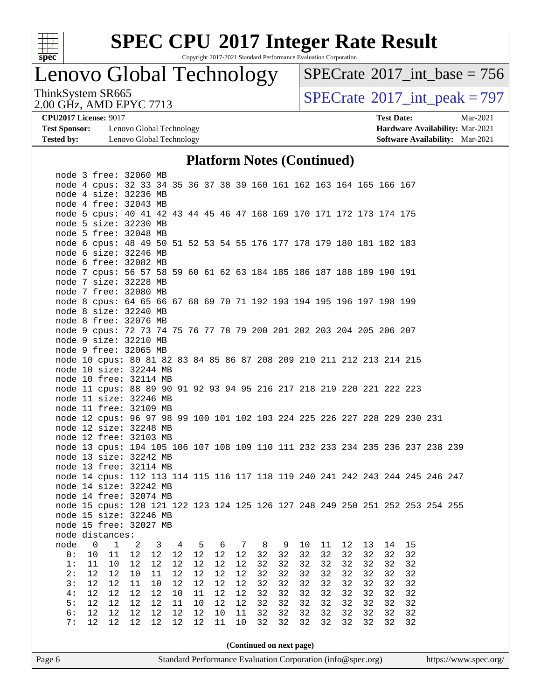

Copyright 2017-2021 Standard Performance Evaluation Corporation

# Lenovo Global Technology

 $SPECrate$ <sup>®</sup>[2017\\_int\\_base =](http://www.spec.org/auto/cpu2017/Docs/result-fields.html#SPECrate2017intbase) 756

2.00 GHz, AMD EPYC 7713

ThinkSystem SR665<br>2.00 GHz AMD EPYC 7713

**[Test Sponsor:](http://www.spec.org/auto/cpu2017/Docs/result-fields.html#TestSponsor)** Lenovo Global Technology **[Hardware Availability:](http://www.spec.org/auto/cpu2017/Docs/result-fields.html#HardwareAvailability)** Mar-2021 **[Tested by:](http://www.spec.org/auto/cpu2017/Docs/result-fields.html#Testedby)** Lenovo Global Technology **[Software Availability:](http://www.spec.org/auto/cpu2017/Docs/result-fields.html#SoftwareAvailability)** Mar-2021

**[CPU2017 License:](http://www.spec.org/auto/cpu2017/Docs/result-fields.html#CPU2017License)** 9017 **[Test Date:](http://www.spec.org/auto/cpu2017/Docs/result-fields.html#TestDate)** Mar-2021

#### **[Platform Notes \(Continued\)](http://www.spec.org/auto/cpu2017/Docs/result-fields.html#PlatformNotes)**

| Page 6 |          |          |                                                                               |        |                         |        |        |      |    |             |    | Standard Performance Evaluation Corporation (info@spec.org) |    |       |             |    |       |  | https://www.spec.org/ |
|--------|----------|----------|-------------------------------------------------------------------------------|--------|-------------------------|--------|--------|------|----|-------------|----|-------------------------------------------------------------|----|-------|-------------|----|-------|--|-----------------------|
|        |          |          |                                                                               |        |                         |        |        |      |    |             |    | (Continued on next page)                                    |    |       |             |    |       |  |                       |
|        | 7:       | 12       | $12$                                                                          | 12     | 12                      | $12\,$ | 12     | 11   | 10 | 32          | 32 | 32                                                          | 32 | 32    | 32          | 32 | 32    |  |                       |
|        | 6:       | 12       | $12\,$                                                                        | 12     | 12                      | $12\,$ | 12     | 10   | 11 | 32          | 32 | 32                                                          | 32 | 32    | 32          | 32 | 32    |  |                       |
|        | 5:       | 12       | $12\,$                                                                        | 12     | 12                      | 11     | 10     | 12   | 12 | 32          | 32 | 32                                                          | 32 | 32    | 32          | 32 | 32    |  |                       |
|        | 4:       | 12       | $12$                                                                          | 12     | 12                      | $10$   | $11\,$ | 12   | 12 | 32          | 32 | 32                                                          | 32 | 32    | 32          | 32 | 32    |  |                       |
|        |          |          | $12$                                                                          | $11\,$ | 10                      | 12     | 12     | $12$ | 12 | 32          | 32 | 32                                                          | 32 | 32    | 32          | 32 | 32    |  |                       |
|        | 2:<br>3: | 12<br>12 | 12                                                                            | 10     | 11                      | 12     | 12     | 12   | 12 | 32          | 32 | 32                                                          | 32 | 32    | 32          | 32 | 32    |  |                       |
|        |          |          | 1: 11 10 12 12 12 12 12 12                                                    |        |                         |        |        |      |    |             |    | 32 32 32                                                    |    |       | 32 32 32    |    | 32 32 |  |                       |
|        |          |          | 0: 10 11 12 12 12 12 12 12 32 32                                              |        |                         |        |        |      |    |             |    | 32                                                          |    | 32 32 | 32          | 32 | 32    |  |                       |
|        |          |          | node 0 1 2                                                                    |        | $\overline{\mathbf{3}}$ |        |        |      |    | 4 5 6 7 8 9 |    |                                                             |    |       | 10 11 12 13 |    | 14 15 |  |                       |
|        |          |          | node distances:                                                               |        |                         |        |        |      |    |             |    |                                                             |    |       |             |    |       |  |                       |
|        |          |          | node 15 free: 32027 MB                                                        |        |                         |        |        |      |    |             |    |                                                             |    |       |             |    |       |  |                       |
|        |          |          | node 15 size: 32246 MB                                                        |        |                         |        |        |      |    |             |    |                                                             |    |       |             |    |       |  |                       |
|        |          |          | node 15 cpus: 120 121 122 123 124 125 126 127 248 249 250 251 252 253 254 255 |        |                         |        |        |      |    |             |    |                                                             |    |       |             |    |       |  |                       |
|        |          |          | node 14 free: 32074 MB                                                        |        |                         |        |        |      |    |             |    |                                                             |    |       |             |    |       |  |                       |
|        |          |          | node 14 size: 32242 MB                                                        |        |                         |        |        |      |    |             |    |                                                             |    |       |             |    |       |  |                       |
|        |          |          | node 14 cpus: 112 113 114 115 116 117 118 119 240 241 242 243 244 245 246 247 |        |                         |        |        |      |    |             |    |                                                             |    |       |             |    |       |  |                       |
|        |          |          | node 13 free: 32114 MB                                                        |        |                         |        |        |      |    |             |    |                                                             |    |       |             |    |       |  |                       |
|        |          |          | node 13 size: 32242 MB                                                        |        |                         |        |        |      |    |             |    |                                                             |    |       |             |    |       |  |                       |
|        |          |          | node 13 cpus: 104 105 106 107 108 109 110 111 232 233 234 235 236 237 238 239 |        |                         |        |        |      |    |             |    |                                                             |    |       |             |    |       |  |                       |
|        |          |          | node 12 free: 32103 MB                                                        |        |                         |        |        |      |    |             |    |                                                             |    |       |             |    |       |  |                       |
|        |          |          | node 12 size: 32248 MB                                                        |        |                         |        |        |      |    |             |    |                                                             |    |       |             |    |       |  |                       |
|        |          |          | node 12 cpus: 96 97 98 99 100 101 102 103 224 225 226 227 228 229 230 231     |        |                         |        |        |      |    |             |    |                                                             |    |       |             |    |       |  |                       |
|        |          |          | node 11 free: 32109 MB                                                        |        |                         |        |        |      |    |             |    |                                                             |    |       |             |    |       |  |                       |
|        |          |          | node 11 size: 32246 MB                                                        |        |                         |        |        |      |    |             |    |                                                             |    |       |             |    |       |  |                       |
|        |          |          | node 11 cpus: 88 89 90 91 92 93 94 95 216 217 218 219 220 221 222 223         |        |                         |        |        |      |    |             |    |                                                             |    |       |             |    |       |  |                       |
|        |          |          | node 10 free: 32114 MB                                                        |        |                         |        |        |      |    |             |    |                                                             |    |       |             |    |       |  |                       |
|        |          |          | node 10 size: 32244 MB                                                        |        |                         |        |        |      |    |             |    |                                                             |    |       |             |    |       |  |                       |
|        |          |          | node 10 cpus: 80 81 82 83 84 85 86 87 208 209 210 211 212 213 214 215         |        |                         |        |        |      |    |             |    |                                                             |    |       |             |    |       |  |                       |
|        |          |          | node 9 free: 32065 MB                                                         |        |                         |        |        |      |    |             |    |                                                             |    |       |             |    |       |  |                       |
|        |          |          | node 9 size: 32210 MB                                                         |        |                         |        |        |      |    |             |    |                                                             |    |       |             |    |       |  |                       |
|        |          |          | node 9 cpus: 72 73 74 75 76 77 78 79 200 201 202 203 204 205 206 207          |        |                         |        |        |      |    |             |    |                                                             |    |       |             |    |       |  |                       |
|        |          |          | node 8 free: 32076 MB                                                         |        |                         |        |        |      |    |             |    |                                                             |    |       |             |    |       |  |                       |
|        |          |          | node 8 size: 32240 MB                                                         |        |                         |        |        |      |    |             |    |                                                             |    |       |             |    |       |  |                       |
|        |          |          | node 8 cpus: 64 65 66 67 68 69 70 71 192 193 194 195 196 197 198 199          |        |                         |        |        |      |    |             |    |                                                             |    |       |             |    |       |  |                       |
|        |          |          | node 7 free: 32080 MB                                                         |        |                         |        |        |      |    |             |    |                                                             |    |       |             |    |       |  |                       |
|        |          |          | node 7 size: 32228 MB                                                         |        |                         |        |        |      |    |             |    |                                                             |    |       |             |    |       |  |                       |
|        |          |          | node 7 cpus: 56 57 58 59 60 61 62 63 184 185 186 187 188 189 190 191          |        |                         |        |        |      |    |             |    |                                                             |    |       |             |    |       |  |                       |
|        |          |          | node 6 free: 32082 MB                                                         |        |                         |        |        |      |    |             |    |                                                             |    |       |             |    |       |  |                       |
|        |          |          | node 6 size: 32246 MB                                                         |        |                         |        |        |      |    |             |    |                                                             |    |       |             |    |       |  |                       |
|        |          |          | node 6 cpus: 48 49 50 51 52 53 54 55 176 177 178 179 180 181 182 183          |        |                         |        |        |      |    |             |    |                                                             |    |       |             |    |       |  |                       |
|        |          |          | node 5 free: 32048 MB                                                         |        |                         |        |        |      |    |             |    |                                                             |    |       |             |    |       |  |                       |
|        |          |          | node 5 size: 32230 MB                                                         |        |                         |        |        |      |    |             |    |                                                             |    |       |             |    |       |  |                       |
|        |          |          | node 5 cpus: 40 41 42 43 44 45 46 47 168 169 170 171 172 173 174 175          |        |                         |        |        |      |    |             |    |                                                             |    |       |             |    |       |  |                       |
|        |          |          | node 4 free: 32043 MB                                                         |        |                         |        |        |      |    |             |    |                                                             |    |       |             |    |       |  |                       |
|        |          |          | node 4 size: 32236 MB                                                         |        |                         |        |        |      |    |             |    |                                                             |    |       |             |    |       |  |                       |
|        |          |          | node 4 cpus: 32 33 34 35 36 37 38 39 160 161 162 163 164 165 166 167          |        |                         |        |        |      |    |             |    |                                                             |    |       |             |    |       |  |                       |
|        |          |          | node 3 free: 32060 MB                                                         |        |                         |        |        |      |    |             |    |                                                             |    |       |             |    |       |  |                       |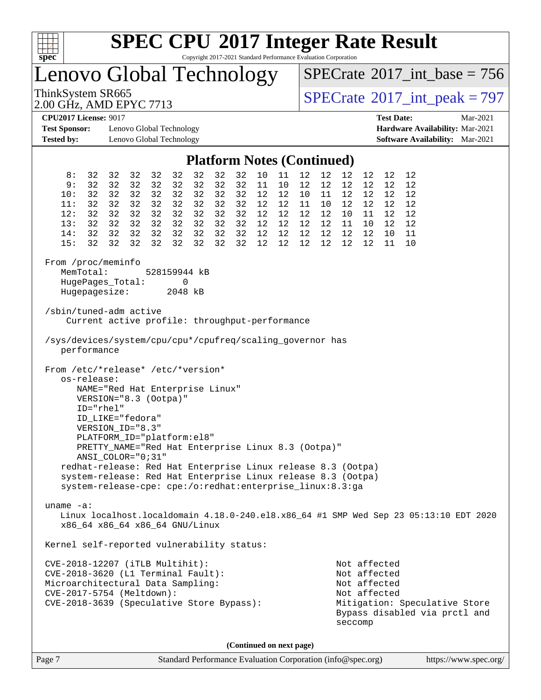

Copyright 2017-2021 Standard Performance Evaluation Corporation

Lenovo Global Technology

 $SPECrate$ <sup>®</sup>[2017\\_int\\_base =](http://www.spec.org/auto/cpu2017/Docs/result-fields.html#SPECrate2017intbase) 756

2.00 GHz, AMD EPYC 7713

ThinkSystem SR665<br>
2.00 GHz AMD EPYC 7713

**[Test Sponsor:](http://www.spec.org/auto/cpu2017/Docs/result-fields.html#TestSponsor)** Lenovo Global Technology **[Hardware Availability:](http://www.spec.org/auto/cpu2017/Docs/result-fields.html#HardwareAvailability)** Mar-2021 **[Tested by:](http://www.spec.org/auto/cpu2017/Docs/result-fields.html#Testedby)** Lenovo Global Technology **[Software Availability:](http://www.spec.org/auto/cpu2017/Docs/result-fields.html#SoftwareAvailability)** Mar-2021

**[CPU2017 License:](http://www.spec.org/auto/cpu2017/Docs/result-fields.html#CPU2017License)** 9017 **[Test Date:](http://www.spec.org/auto/cpu2017/Docs/result-fields.html#TestDate)** Mar-2021

#### **[Platform Notes \(Continued\)](http://www.spec.org/auto/cpu2017/Docs/result-fields.html#PlatformNotes)**

|                                                                                                                                                                                                                                    |                                                                                                                                                                                                                               |                                              |                                              |                                              |                                                             |                                                 |                                        |                                              | $1$ and $1$ views (Community)                    |                                              |                                              |                                                     |                                                 |                                                              |                                                                  |                                                                                       |
|------------------------------------------------------------------------------------------------------------------------------------------------------------------------------------------------------------------------------------|-------------------------------------------------------------------------------------------------------------------------------------------------------------------------------------------------------------------------------|----------------------------------------------|----------------------------------------------|----------------------------------------------|-------------------------------------------------------------|-------------------------------------------------|----------------------------------------|----------------------------------------------|--------------------------------------------------|----------------------------------------------|----------------------------------------------|-----------------------------------------------------|-------------------------------------------------|--------------------------------------------------------------|------------------------------------------------------------------|---------------------------------------------------------------------------------------|
| 8:<br>9:<br>10:<br>11:<br>12:<br>13:<br>14:<br>15:                                                                                                                                                                                 | 32<br>32<br>32<br>32<br>32<br>32<br>32<br>32                                                                                                                                                                                  | 32<br>32<br>32<br>32<br>32<br>32<br>32<br>32 | 32<br>32<br>32<br>32<br>32<br>32<br>32<br>32 | 32<br>32<br>32<br>32<br>32<br>32<br>32<br>32 | 32<br>32<br>32<br>32<br>32<br>32<br>32<br>32                | 32<br>32<br>32<br>32<br>32<br>32 32<br>32<br>32 | 32<br>32<br>32<br>32<br>32<br>32<br>32 | 32<br>32<br>32<br>32<br>32<br>32<br>32<br>32 | $10\,$<br>11<br>12<br>12<br>12<br>12<br>12<br>12 | 11<br>10<br>12<br>12<br>12<br>12<br>12<br>12 | 12<br>12<br>10<br>11<br>12<br>12<br>12<br>12 | 12<br>12<br>11<br>12<br>12<br>12 <sub>2</sub><br>12 | 12<br>12<br>12<br>10 12<br>10<br>11<br>12<br>12 | 12<br>12<br>12<br>12<br>11<br>10<br>12<br>12                 | 12<br>12 <sub>2</sub><br>12<br>12<br>12<br>12<br>10 <sup>1</sup> | 12<br>12<br>12<br>12<br>12<br>12<br>11<br>11 10                                       |
| From /proc/meminfo<br>MemTotal:<br>HugePages_Total:<br>Hugepagesize:                                                                                                                                                               |                                                                                                                                                                                                                               |                                              |                                              |                                              | 528159944 kB<br>0<br>2048 kB                                |                                                 |                                        |                                              |                                                  |                                              |                                              |                                                     |                                                 |                                                              |                                                                  |                                                                                       |
| /sbin/tuned-adm active                                                                                                                                                                                                             | Current active profile: throughput-performance                                                                                                                                                                                |                                              |                                              |                                              |                                                             |                                                 |                                        |                                              |                                                  |                                              |                                              |                                                     |                                                 |                                                              |                                                                  |                                                                                       |
| /sys/devices/system/cpu/cpu*/cpufreq/scaling_governor has<br>performance                                                                                                                                                           |                                                                                                                                                                                                                               |                                              |                                              |                                              |                                                             |                                                 |                                        |                                              |                                                  |                                              |                                              |                                                     |                                                 |                                                              |                                                                  |                                                                                       |
| os-release:<br>redhat-release: Red Hat Enterprise Linux release 8.3 (Ootpa)<br>system-release: Red Hat Enterprise Linux release 8.3 (Ootpa)<br>system-release-cpe: cpe:/o:redhat:enterprise_linux:8.3:ga<br>uname $-a$ :           | NAME="Red Hat Enterprise Linux"<br>VERSION="8.3 (Ootpa)"<br>ID="rhel"<br>ID_LIKE="fedora"<br>VERSION_ID="8.3"<br>PLATFORM_ID="platform:el8"<br>PRETTY_NAME="Red Hat Enterprise Linux 8.3 (Ootpa)"<br>$ANSI$ _COLOR=" $0:31$ " |                                              |                                              |                                              |                                                             |                                                 |                                        |                                              |                                                  |                                              |                                              |                                                     |                                                 |                                                              |                                                                  | Linux localhost.localdomain 4.18.0-240.el8.x86_64 #1 SMP Wed Sep 23 05:13:10 EDT 2020 |
| x86_64 x86_64 x86_64 GNU/Linux                                                                                                                                                                                                     |                                                                                                                                                                                                                               |                                              |                                              |                                              |                                                             |                                                 |                                        |                                              |                                                  |                                              |                                              |                                                     |                                                 |                                                              |                                                                  |                                                                                       |
| Kernel self-reported vulnerability status:<br>CVE-2018-12207 (iTLB Multihit):<br>CVE-2018-3620 (L1 Terminal Fault):<br>Microarchitectural Data Sampling:<br>CVE-2017-5754 (Meltdown):<br>CVE-2018-3639 (Speculative Store Bypass): |                                                                                                                                                                                                                               |                                              |                                              |                                              |                                                             |                                                 |                                        |                                              |                                                  |                                              |                                              |                                                     | seccomp                                         | Not affected<br>Not affected<br>Not affected<br>Not affected |                                                                  | Mitigation: Speculative Store<br>Bypass disabled via prctl and                        |
|                                                                                                                                                                                                                                    |                                                                                                                                                                                                                               |                                              |                                              |                                              |                                                             |                                                 |                                        |                                              | (Continued on next page)                         |                                              |                                              |                                                     |                                                 |                                                              |                                                                  |                                                                                       |
| Page 7                                                                                                                                                                                                                             |                                                                                                                                                                                                                               |                                              |                                              |                                              | Standard Performance Evaluation Corporation (info@spec.org) |                                                 |                                        |                                              |                                                  |                                              |                                              |                                                     |                                                 |                                                              |                                                                  | https://www.spec.org/                                                                 |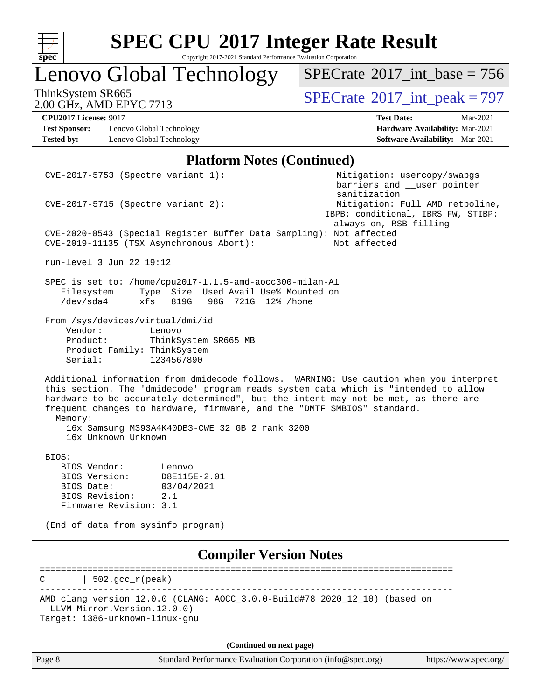

Copyright 2017-2021 Standard Performance Evaluation Corporation

# Lenovo Global Technology

 $SPECrate$ <sup>®</sup>[2017\\_int\\_base =](http://www.spec.org/auto/cpu2017/Docs/result-fields.html#SPECrate2017intbase) 756

2.00 GHz, AMD EPYC 7713

ThinkSystem SR665<br>
2.00 GHz AMD EPYC 7713

**[Test Sponsor:](http://www.spec.org/auto/cpu2017/Docs/result-fields.html#TestSponsor)** Lenovo Global Technology **[Hardware Availability:](http://www.spec.org/auto/cpu2017/Docs/result-fields.html#HardwareAvailability)** Mar-2021 **[Tested by:](http://www.spec.org/auto/cpu2017/Docs/result-fields.html#Testedby)** Lenovo Global Technology **[Software Availability:](http://www.spec.org/auto/cpu2017/Docs/result-fields.html#SoftwareAvailability)** Mar-2021

**[CPU2017 License:](http://www.spec.org/auto/cpu2017/Docs/result-fields.html#CPU2017License)** 9017 **[Test Date:](http://www.spec.org/auto/cpu2017/Docs/result-fields.html#TestDate)** Mar-2021

#### **[Platform Notes \(Continued\)](http://www.spec.org/auto/cpu2017/Docs/result-fields.html#PlatformNotes)**

| $CVE-2017-5753$ (Spectre variant 1):                                                                                                   |                                                                                                                                                                                                                                                                                                                                                                                                  | Mitigation: usercopy/swapgs<br>barriers and __user pointer                   |                                 |
|----------------------------------------------------------------------------------------------------------------------------------------|--------------------------------------------------------------------------------------------------------------------------------------------------------------------------------------------------------------------------------------------------------------------------------------------------------------------------------------------------------------------------------------------------|------------------------------------------------------------------------------|---------------------------------|
| $CVE-2017-5715$ (Spectre variant 2):                                                                                                   |                                                                                                                                                                                                                                                                                                                                                                                                  | sanitization<br>IBPB: conditional, IBRS_FW, STIBP:<br>always-on, RSB filling | Mitigation: Full AMD retpoline, |
| CVE-2019-11135 (TSX Asynchronous Abort):                                                                                               | CVE-2020-0543 (Special Register Buffer Data Sampling): Not affected                                                                                                                                                                                                                                                                                                                              | Not affected                                                                 |                                 |
| run-level 3 Jun 22 19:12                                                                                                               |                                                                                                                                                                                                                                                                                                                                                                                                  |                                                                              |                                 |
| Filesystem<br>$/\text{dev/sda4}$<br>xfs                                                                                                | SPEC is set to: /home/cpu2017-1.1.5-amd-aocc300-milan-A1<br>Type Size Used Avail Use% Mounted on<br>819G<br>98G 721G 12% /home                                                                                                                                                                                                                                                                   |                                                                              |                                 |
| From /sys/devices/virtual/dmi/id<br>Vendor:<br>Product:<br>Product Family: ThinkSystem<br>Serial:                                      | Lenovo<br>ThinkSystem SR665 MB<br>1234567890                                                                                                                                                                                                                                                                                                                                                     |                                                                              |                                 |
| Memory:<br>16x Unknown Unknown                                                                                                         | Additional information from dmidecode follows. WARNING: Use caution when you interpret<br>this section. The 'dmidecode' program reads system data which is "intended to allow<br>hardware to be accurately determined", but the intent may not be met, as there are<br>frequent changes to hardware, firmware, and the "DMTF SMBIOS" standard.<br>16x Samsung M393A4K40DB3-CWE 32 GB 2 rank 3200 |                                                                              |                                 |
| BIOS:<br>BIOS Vendor:<br>BIOS Version:<br>BIOS Date:<br>BIOS Revision:<br>Firmware Revision: 3.1<br>(End of data from sysinfo program) | Lenovo<br>D8E115E-2.01<br>03/04/2021<br>2.1                                                                                                                                                                                                                                                                                                                                                      |                                                                              |                                 |
|                                                                                                                                        | <b>Compiler Version Notes</b>                                                                                                                                                                                                                                                                                                                                                                    |                                                                              |                                 |
| $502.$ $\text{gcc\_r}$ (peak)                                                                                                          |                                                                                                                                                                                                                                                                                                                                                                                                  |                                                                              |                                 |
| LLVM Mirror. Version. 12.0.0)<br>Target: i386-unknown-linux-gnu                                                                        | AMD clang version 12.0.0 (CLANG: AOCC_3.0.0-Build#78 2020_12_10) (based on                                                                                                                                                                                                                                                                                                                       |                                                                              |                                 |
|                                                                                                                                        | (Continued on next page)                                                                                                                                                                                                                                                                                                                                                                         |                                                                              |                                 |
| Page 8                                                                                                                                 | Standard Performance Evaluation Corporation (info@spec.org)                                                                                                                                                                                                                                                                                                                                      |                                                                              | https://www.spec.org/           |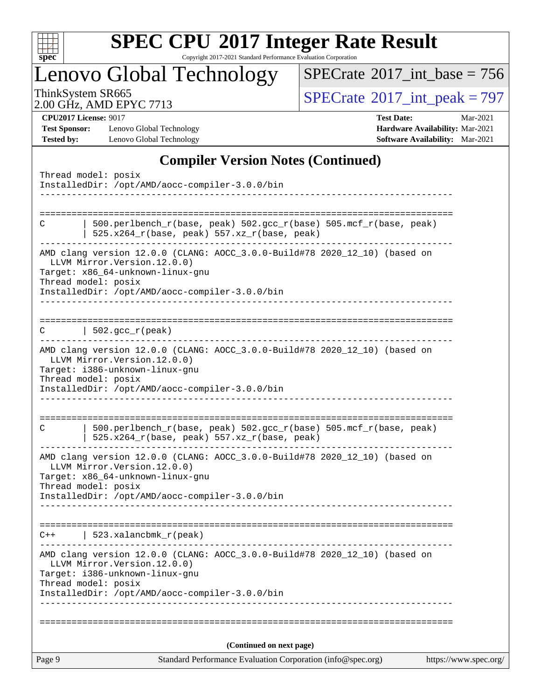

Copyright 2017-2021 Standard Performance Evaluation Corporation

## Lenovo Global Technology

 $SPECrate$ <sup>®</sup>[2017\\_int\\_base =](http://www.spec.org/auto/cpu2017/Docs/result-fields.html#SPECrate2017intbase) 756

2.00 GHz, AMD EPYC 7713

ThinkSystem SR665<br>
2.00 GHz AMD EPYC 7713

**[Test Sponsor:](http://www.spec.org/auto/cpu2017/Docs/result-fields.html#TestSponsor)** Lenovo Global Technology **[Hardware Availability:](http://www.spec.org/auto/cpu2017/Docs/result-fields.html#HardwareAvailability)** Mar-2021 **[Tested by:](http://www.spec.org/auto/cpu2017/Docs/result-fields.html#Testedby)** Lenovo Global Technology **[Software Availability:](http://www.spec.org/auto/cpu2017/Docs/result-fields.html#SoftwareAvailability)** Mar-2021

**[CPU2017 License:](http://www.spec.org/auto/cpu2017/Docs/result-fields.html#CPU2017License)** 9017 **[Test Date:](http://www.spec.org/auto/cpu2017/Docs/result-fields.html#TestDate)** Mar-2021

#### **[Compiler Version Notes \(Continued\)](http://www.spec.org/auto/cpu2017/Docs/result-fields.html#CompilerVersionNotes)**

|        | Thread model: posix<br>InstalledDir: /opt/AMD/aocc-compiler-3.0.0/bin                                                                                                                                                    |                       |
|--------|--------------------------------------------------------------------------------------------------------------------------------------------------------------------------------------------------------------------------|-----------------------|
|        |                                                                                                                                                                                                                          |                       |
| C      | 500.perlbench_r(base, peak) 502.gcc_r(base) 505.mcf_r(base, peak)<br>$525.x264_r(base, peak) 557.xz_r(base, peak)$                                                                                                       |                       |
|        | AMD clang version 12.0.0 (CLANG: AOCC_3.0.0-Build#78 2020_12_10) (based on<br>LLVM Mirror. Version. 12.0.0)<br>Target: x86_64-unknown-linux-gnu<br>Thread model: posix<br>InstalledDir: /opt/AMD/aocc-compiler-3.0.0/bin |                       |
|        | ------------                                                                                                                                                                                                             |                       |
| C      | $  502.\text{gcc_r(peak)}$                                                                                                                                                                                               |                       |
|        | AMD clang version 12.0.0 (CLANG: AOCC_3.0.0-Build#78 2020_12_10) (based on<br>LLVM Mirror.Version.12.0.0)<br>Target: i386-unknown-linux-gnu<br>Thread model: posix                                                       |                       |
|        | InstalledDir: /opt/AMD/aocc-compiler-3.0.0/bin                                                                                                                                                                           |                       |
|        |                                                                                                                                                                                                                          |                       |
| C      | 500.perlbench_r(base, peak) 502.gcc_r(base) 505.mcf_r(base, peak)<br>525.x264_r(base, peak) 557.xz_r(base, peak)                                                                                                         |                       |
|        | AMD clang version 12.0.0 (CLANG: AOCC_3.0.0-Build#78 2020_12_10) (based on<br>LLVM Mirror. Version. 12.0.0)<br>Target: x86_64-unknown-linux-gnu<br>Thread model: posix<br>InstalledDir: /opt/AMD/aocc-compiler-3.0.0/bin |                       |
|        |                                                                                                                                                                                                                          |                       |
| $C++$  | 523.xalancbmk_r(peak)                                                                                                                                                                                                    |                       |
|        | AMD clang version 12.0.0 (CLANG: AOCC_3.0.0-Build#78 2020_12_10) (based on<br>LLVM Mirror.Version.12.0.0)<br>Target: i386-unknown-linux-gnu<br>Thread model: posix                                                       |                       |
|        | InstalledDir: /opt/AMD/aocc-compiler-3.0.0/bin                                                                                                                                                                           |                       |
|        |                                                                                                                                                                                                                          |                       |
|        | (Continued on next page)                                                                                                                                                                                                 |                       |
| Page 9 | Standard Performance Evaluation Corporation (info@spec.org)                                                                                                                                                              | https://www.spec.org/ |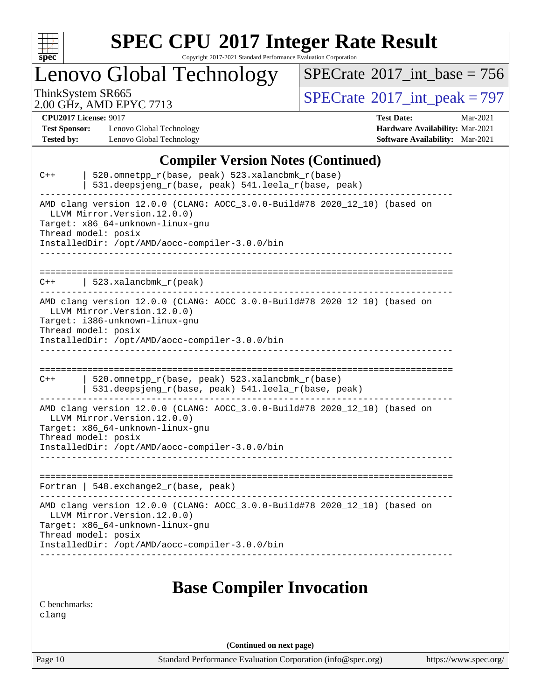

Copyright 2017-2021 Standard Performance Evaluation Corporation

Lenovo Global Technology

 $SPECrate$ <sup>®</sup>[2017\\_int\\_base =](http://www.spec.org/auto/cpu2017/Docs/result-fields.html#SPECrate2017intbase) 756

2.00 GHz, AMD EPYC 7713

ThinkSystem SR665<br>2.00 GHz AMD EPYC 7713

**[Test Sponsor:](http://www.spec.org/auto/cpu2017/Docs/result-fields.html#TestSponsor)** Lenovo Global Technology **[Hardware Availability:](http://www.spec.org/auto/cpu2017/Docs/result-fields.html#HardwareAvailability)** Mar-2021 **[Tested by:](http://www.spec.org/auto/cpu2017/Docs/result-fields.html#Testedby)** Lenovo Global Technology **[Software Availability:](http://www.spec.org/auto/cpu2017/Docs/result-fields.html#SoftwareAvailability)** Mar-2021

**[CPU2017 License:](http://www.spec.org/auto/cpu2017/Docs/result-fields.html#CPU2017License)** 9017 **[Test Date:](http://www.spec.org/auto/cpu2017/Docs/result-fields.html#TestDate)** Mar-2021

#### **[Compiler Version Notes \(Continued\)](http://www.spec.org/auto/cpu2017/Docs/result-fields.html#CompilerVersionNotes)**

| 520.omnetpp_r(base, peak) 523.xalancbmk_r(base)<br>$C++$<br>531.deepsjeng_r(base, peak) 541.leela_r(base, peak)<br>--------------------------------                                                                      |
|--------------------------------------------------------------------------------------------------------------------------------------------------------------------------------------------------------------------------|
| AMD clang version 12.0.0 (CLANG: AOCC_3.0.0-Build#78 2020_12_10) (based on<br>LLVM Mirror. Version. 12.0.0)<br>Target: x86_64-unknown-linux-gnu<br>Thread model: posix<br>InstalledDir: /opt/AMD/aocc-compiler-3.0.0/bin |
| $523$ .xalancbmk $r$ (peak)<br>$C++$                                                                                                                                                                                     |
| AMD clang version 12.0.0 (CLANG: AOCC_3.0.0-Build#78 2020_12_10) (based on<br>LLVM Mirror. Version. 12.0.0)<br>Target: i386-unknown-linux-gnu<br>Thread model: posix<br>InstalledDir: /opt/AMD/aocc-compiler-3.0.0/bin   |
|                                                                                                                                                                                                                          |
| 520.omnetpp_r(base, peak) 523.xalancbmk_r(base)<br>$C++$<br>531.deepsjeng_r(base, peak) 541.leela_r(base, peak)                                                                                                          |
| AMD clang version 12.0.0 (CLANG: AOCC_3.0.0-Build#78 2020_12_10) (based on<br>LLVM Mirror. Version. 12.0.0)<br>Target: x86_64-unknown-linux-gnu<br>Thread model: posix<br>InstalledDir: /opt/AMD/aocc-compiler-3.0.0/bin |
| Fortran   548.exchange2_r(base, peak)                                                                                                                                                                                    |
| AMD clang version 12.0.0 (CLANG: AOCC_3.0.0-Build#78 2020_12_10) (based on<br>LLVM Mirror. Version. 12.0.0)<br>Target: x86_64-unknown-linux-gnu<br>Thread model: posix<br>InstalledDir: /opt/AMD/aocc-compiler-3.0.0/bin |
| <b>Base Compiler Invocation</b>                                                                                                                                                                                          |
| C benchmarks:                                                                                                                                                                                                            |

[clang](http://www.spec.org/cpu2017/results/res2021q2/cpu2017-20210329-25443.flags.html#user_CCbase_clang-c)

**(Continued on next page)**

Page 10 Standard Performance Evaluation Corporation [\(info@spec.org\)](mailto:info@spec.org) <https://www.spec.org/>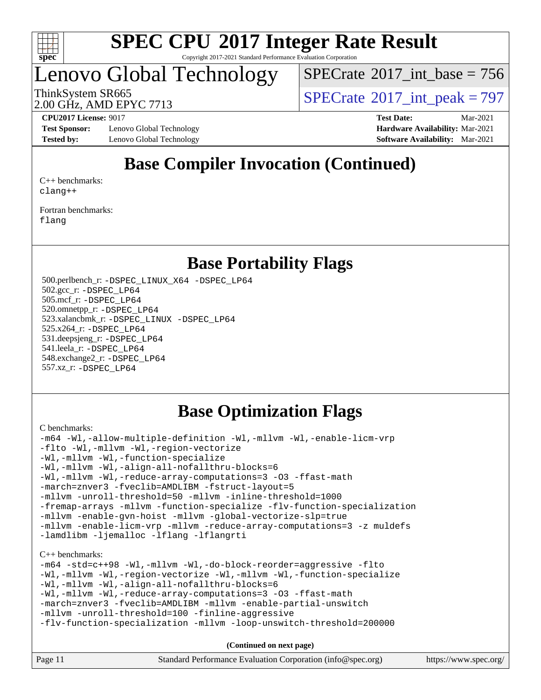

Copyright 2017-2021 Standard Performance Evaluation Corporation

### Lenovo Global Technology

 $SPECTate$ <sup>®</sup>[2017\\_int\\_base =](http://www.spec.org/auto/cpu2017/Docs/result-fields.html#SPECrate2017intbase) 756

2.00 GHz, AMD EPYC 7713

ThinkSystem SR665<br>2.00 GHz, AMD EPYC 7713

**[Test Sponsor:](http://www.spec.org/auto/cpu2017/Docs/result-fields.html#TestSponsor)** Lenovo Global Technology **[Hardware Availability:](http://www.spec.org/auto/cpu2017/Docs/result-fields.html#HardwareAvailability)** Mar-2021 **[Tested by:](http://www.spec.org/auto/cpu2017/Docs/result-fields.html#Testedby)** Lenovo Global Technology **[Software Availability:](http://www.spec.org/auto/cpu2017/Docs/result-fields.html#SoftwareAvailability)** Mar-2021

**[CPU2017 License:](http://www.spec.org/auto/cpu2017/Docs/result-fields.html#CPU2017License)** 9017 **[Test Date:](http://www.spec.org/auto/cpu2017/Docs/result-fields.html#TestDate)** Mar-2021

### **[Base Compiler Invocation \(Continued\)](http://www.spec.org/auto/cpu2017/Docs/result-fields.html#BaseCompilerInvocation)**

[C++ benchmarks:](http://www.spec.org/auto/cpu2017/Docs/result-fields.html#CXXbenchmarks) [clang++](http://www.spec.org/cpu2017/results/res2021q2/cpu2017-20210329-25443.flags.html#user_CXXbase_clang-cpp)

[Fortran benchmarks](http://www.spec.org/auto/cpu2017/Docs/result-fields.html#Fortranbenchmarks): [flang](http://www.spec.org/cpu2017/results/res2021q2/cpu2017-20210329-25443.flags.html#user_FCbase_flang)

### **[Base Portability Flags](http://www.spec.org/auto/cpu2017/Docs/result-fields.html#BasePortabilityFlags)**

 500.perlbench\_r: [-DSPEC\\_LINUX\\_X64](http://www.spec.org/cpu2017/results/res2021q2/cpu2017-20210329-25443.flags.html#b500.perlbench_r_basePORTABILITY_DSPEC_LINUX_X64) [-DSPEC\\_LP64](http://www.spec.org/cpu2017/results/res2021q2/cpu2017-20210329-25443.flags.html#b500.perlbench_r_baseEXTRA_PORTABILITY_DSPEC_LP64) 502.gcc\_r: [-DSPEC\\_LP64](http://www.spec.org/cpu2017/results/res2021q2/cpu2017-20210329-25443.flags.html#suite_baseEXTRA_PORTABILITY502_gcc_r_DSPEC_LP64) 505.mcf\_r: [-DSPEC\\_LP64](http://www.spec.org/cpu2017/results/res2021q2/cpu2017-20210329-25443.flags.html#suite_baseEXTRA_PORTABILITY505_mcf_r_DSPEC_LP64) 520.omnetpp\_r: [-DSPEC\\_LP64](http://www.spec.org/cpu2017/results/res2021q2/cpu2017-20210329-25443.flags.html#suite_baseEXTRA_PORTABILITY520_omnetpp_r_DSPEC_LP64) 523.xalancbmk\_r: [-DSPEC\\_LINUX](http://www.spec.org/cpu2017/results/res2021q2/cpu2017-20210329-25443.flags.html#b523.xalancbmk_r_basePORTABILITY_DSPEC_LINUX) [-DSPEC\\_LP64](http://www.spec.org/cpu2017/results/res2021q2/cpu2017-20210329-25443.flags.html#suite_baseEXTRA_PORTABILITY523_xalancbmk_r_DSPEC_LP64) 525.x264\_r: [-DSPEC\\_LP64](http://www.spec.org/cpu2017/results/res2021q2/cpu2017-20210329-25443.flags.html#suite_baseEXTRA_PORTABILITY525_x264_r_DSPEC_LP64) 531.deepsjeng\_r: [-DSPEC\\_LP64](http://www.spec.org/cpu2017/results/res2021q2/cpu2017-20210329-25443.flags.html#suite_baseEXTRA_PORTABILITY531_deepsjeng_r_DSPEC_LP64) 541.leela\_r: [-DSPEC\\_LP64](http://www.spec.org/cpu2017/results/res2021q2/cpu2017-20210329-25443.flags.html#suite_baseEXTRA_PORTABILITY541_leela_r_DSPEC_LP64) 548.exchange2\_r: [-DSPEC\\_LP64](http://www.spec.org/cpu2017/results/res2021q2/cpu2017-20210329-25443.flags.html#suite_baseEXTRA_PORTABILITY548_exchange2_r_DSPEC_LP64) 557.xz\_r: [-DSPEC\\_LP64](http://www.spec.org/cpu2017/results/res2021q2/cpu2017-20210329-25443.flags.html#suite_baseEXTRA_PORTABILITY557_xz_r_DSPEC_LP64)

### **[Base Optimization Flags](http://www.spec.org/auto/cpu2017/Docs/result-fields.html#BaseOptimizationFlags)**

[C benchmarks](http://www.spec.org/auto/cpu2017/Docs/result-fields.html#Cbenchmarks):

```
-m64 -Wl,-allow-multiple-definition -Wl,-mllvm -Wl,-enable-licm-vrp
-flto -Wl,-mllvm -Wl,-region-vectorize
-Wl,-mllvm -Wl,-function-specialize
-Wl,-mllvm -Wl,-align-all-nofallthru-blocks=6
-Wl,-mllvm -Wl,-reduce-array-computations=3 -O3 -ffast-math
-march=znver3 -fveclib=AMDLIBM -fstruct-layout=5
-mllvm -unroll-threshold=50 -mllvm -inline-threshold=1000
-fremap-arrays -mllvm -function-specialize -flv-function-specialization
-mllvm -enable-gvn-hoist -mllvm -global-vectorize-slp=true
-mllvm -enable-licm-vrp -mllvm -reduce-array-computations=3 -z muldefs
-lamdlibm -ljemalloc -lflang -lflangrti
C++ benchmarks: 
-m64 -std=c++98 -Wl,-mllvm -Wl,-do-block-reorder=aggressive -flto
-Wl,-mllvm -Wl,-region-vectorize -Wl,-mllvm -Wl,-function-specialize
-Wl,-mllvm -Wl,-align-all-nofallthru-blocks=6
-Wl,-mllvm -Wl,-reduce-array-computations=3 -O3 -ffast-math
-march=znver3 -fveclib=AMDLIBM -mllvm -enable-partial-unswitch
-mllvm -unroll-threshold=100 -finline-aggressive
-flv-function-specialization -mllvm -loop-unswitch-threshold=200000
```
**(Continued on next page)**

| Page 11 | Standard Performance Evaluation Corporation (info@spec.org) | https://www.spec.org/ |
|---------|-------------------------------------------------------------|-----------------------|
|---------|-------------------------------------------------------------|-----------------------|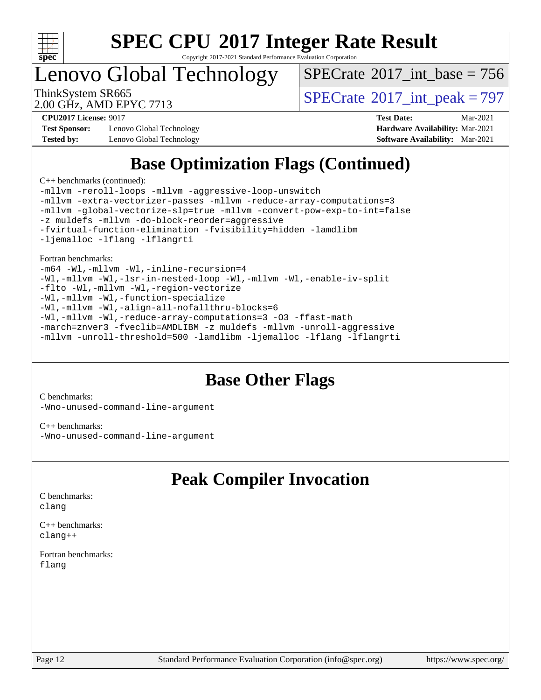

Copyright 2017-2021 Standard Performance Evaluation Corporation

### Lenovo Global Technology

 $SPECTate$ <sup>®</sup>[2017\\_int\\_base =](http://www.spec.org/auto/cpu2017/Docs/result-fields.html#SPECrate2017intbase) 756

2.00 GHz, AMD EPYC 7713

ThinkSystem SR665<br>2.00 GHz, AMD EPVC 7713

**[Test Sponsor:](http://www.spec.org/auto/cpu2017/Docs/result-fields.html#TestSponsor)** Lenovo Global Technology **[Hardware Availability:](http://www.spec.org/auto/cpu2017/Docs/result-fields.html#HardwareAvailability)** Mar-2021 **[Tested by:](http://www.spec.org/auto/cpu2017/Docs/result-fields.html#Testedby)** Lenovo Global Technology **[Software Availability:](http://www.spec.org/auto/cpu2017/Docs/result-fields.html#SoftwareAvailability)** Mar-2021

**[CPU2017 License:](http://www.spec.org/auto/cpu2017/Docs/result-fields.html#CPU2017License)** 9017 **[Test Date:](http://www.spec.org/auto/cpu2017/Docs/result-fields.html#TestDate)** Mar-2021

### **[Base Optimization Flags \(Continued\)](http://www.spec.org/auto/cpu2017/Docs/result-fields.html#BaseOptimizationFlags)**

[C++ benchmarks](http://www.spec.org/auto/cpu2017/Docs/result-fields.html#CXXbenchmarks) (continued):

[-mllvm -reroll-loops](http://www.spec.org/cpu2017/results/res2021q2/cpu2017-20210329-25443.flags.html#user_CXXbase_F-reroll-loops) [-mllvm -aggressive-loop-unswitch](http://www.spec.org/cpu2017/results/res2021q2/cpu2017-20210329-25443.flags.html#user_CXXbase_F-aggressive-loop-unswitch_abd8177005d493f9a81f88ae32814acdc0422950e54bc53b0605c538e2e7549eb43d48c826089056b98aa2f0c142dc7ed1401fa1c97db9286a8c3ff748437b59) [-mllvm -extra-vectorizer-passes](http://www.spec.org/cpu2017/results/res2021q2/cpu2017-20210329-25443.flags.html#user_CXXbase_F-extra-vectorizer-passes_4bb9f90681e045f5ce38050c5c48e52c5a95ed819cbc44e12f6b389a91a38f1bfb7d9f51b06906bf2bd7ccd881019f6383c418982c71e3a142c10a060056d555) [-mllvm -reduce-array-computations=3](http://www.spec.org/cpu2017/results/res2021q2/cpu2017-20210329-25443.flags.html#user_CXXbase_F-reduce-array-computations) [-mllvm -global-vectorize-slp=true](http://www.spec.org/cpu2017/results/res2021q2/cpu2017-20210329-25443.flags.html#user_CXXbase_F-global-vectorize-slp_f701c289ed3fc79483844cad3672606d268e3123d2651e764a36e57810b634b30ff7af25c43ce4288d0e4c1cc47ba156fce6ed971bc0d0e53c4c557f353d3dec) [-mllvm -convert-pow-exp-to-int=false](http://www.spec.org/cpu2017/results/res2021q2/cpu2017-20210329-25443.flags.html#user_CXXbase_F-convert-pow-exp-to-int_48075d7f300181d7350b7c152e089ba974e4acf53c583458eae87b0ecd6f9aa5a8546e2797aca77a784d497b972647cfd65b81c02996ee1106af5ba1043433c1) [-z muldefs](http://www.spec.org/cpu2017/results/res2021q2/cpu2017-20210329-25443.flags.html#user_CXXbase_aocc-muldefs) [-mllvm -do-block-reorder=aggressive](http://www.spec.org/cpu2017/results/res2021q2/cpu2017-20210329-25443.flags.html#user_CXXbase_F-do-block-reorder) [-fvirtual-function-elimination](http://www.spec.org/cpu2017/results/res2021q2/cpu2017-20210329-25443.flags.html#user_CXXbase_F-fvirtual-function-elimination) [-fvisibility=hidden](http://www.spec.org/cpu2017/results/res2021q2/cpu2017-20210329-25443.flags.html#user_CXXbase_F-fvisibility) [-lamdlibm](http://www.spec.org/cpu2017/results/res2021q2/cpu2017-20210329-25443.flags.html#user_CXXbase_F-lamdlibm) [-ljemalloc](http://www.spec.org/cpu2017/results/res2021q2/cpu2017-20210329-25443.flags.html#user_CXXbase_jemalloc-lib) [-lflang](http://www.spec.org/cpu2017/results/res2021q2/cpu2017-20210329-25443.flags.html#user_CXXbase_F-lflang) [-lflangrti](http://www.spec.org/cpu2017/results/res2021q2/cpu2017-20210329-25443.flags.html#user_CXXbase_F-lflangrti)

[Fortran benchmarks](http://www.spec.org/auto/cpu2017/Docs/result-fields.html#Fortranbenchmarks):

[-m64](http://www.spec.org/cpu2017/results/res2021q2/cpu2017-20210329-25443.flags.html#user_FCbase_F-m64) [-Wl,-mllvm -Wl,-inline-recursion=4](http://www.spec.org/cpu2017/results/res2021q2/cpu2017-20210329-25443.flags.html#user_FCbase_F-inline-recursion) [-Wl,-mllvm -Wl,-lsr-in-nested-loop](http://www.spec.org/cpu2017/results/res2021q2/cpu2017-20210329-25443.flags.html#user_FCbase_F-lsr-in-nested-loop) [-Wl,-mllvm -Wl,-enable-iv-split](http://www.spec.org/cpu2017/results/res2021q2/cpu2017-20210329-25443.flags.html#user_FCbase_F-enable-iv-split) [-flto](http://www.spec.org/cpu2017/results/res2021q2/cpu2017-20210329-25443.flags.html#user_FCbase_aocc-flto) [-Wl,-mllvm -Wl,-region-vectorize](http://www.spec.org/cpu2017/results/res2021q2/cpu2017-20210329-25443.flags.html#user_FCbase_F-region-vectorize_fb6c6b5aa293c88efc6c7c2b52b20755e943585b1fe8658c35afef78727fff56e1a56891413c30e36b8e2a6f9a71126986319243e80eb6110b78b288f533c52b) [-Wl,-mllvm -Wl,-function-specialize](http://www.spec.org/cpu2017/results/res2021q2/cpu2017-20210329-25443.flags.html#user_FCbase_F-function-specialize_7e7e661e57922243ee67c9a1251cb8910e607325179a0ce7f2884e09a6f5d4a5ef0ae4f37e8a2a11c95fc48e931f06dc2b6016f14b511fcb441e048bef1b065a) [-Wl,-mllvm -Wl,-align-all-nofallthru-blocks=6](http://www.spec.org/cpu2017/results/res2021q2/cpu2017-20210329-25443.flags.html#user_FCbase_F-align-all-nofallthru-blocks) [-Wl,-mllvm -Wl,-reduce-array-computations=3](http://www.spec.org/cpu2017/results/res2021q2/cpu2017-20210329-25443.flags.html#user_FCbase_F-reduce-array-computations_b882aefe7a5dda4e33149f6299762b9a720dace3e498e13756f4c04e5a19edf5315c1f3993de2e61ec41e8c206231f84e05da7040e1bb5d69ba27d10a12507e4) [-O3](http://www.spec.org/cpu2017/results/res2021q2/cpu2017-20210329-25443.flags.html#user_FCbase_F-O3) [-ffast-math](http://www.spec.org/cpu2017/results/res2021q2/cpu2017-20210329-25443.flags.html#user_FCbase_aocc-ffast-math) [-march=znver3](http://www.spec.org/cpu2017/results/res2021q2/cpu2017-20210329-25443.flags.html#user_FCbase_aocc-march) [-fveclib=AMDLIBM](http://www.spec.org/cpu2017/results/res2021q2/cpu2017-20210329-25443.flags.html#user_FCbase_F-fveclib) [-z muldefs](http://www.spec.org/cpu2017/results/res2021q2/cpu2017-20210329-25443.flags.html#user_FCbase_aocc-muldefs) [-mllvm -unroll-aggressive](http://www.spec.org/cpu2017/results/res2021q2/cpu2017-20210329-25443.flags.html#user_FCbase_F-unroll-aggressive) [-mllvm -unroll-threshold=500](http://www.spec.org/cpu2017/results/res2021q2/cpu2017-20210329-25443.flags.html#user_FCbase_F-unroll-threshold_6344f35bb9416f763444895f2c0828bc11d6b70541d01165f9793831738f396c84c63e00879c73114837d9915973441965f43a8aa0b0cec1300ec9f6fa61abad) [-lamdlibm](http://www.spec.org/cpu2017/results/res2021q2/cpu2017-20210329-25443.flags.html#user_FCbase_F-lamdlibm) [-ljemalloc](http://www.spec.org/cpu2017/results/res2021q2/cpu2017-20210329-25443.flags.html#user_FCbase_jemalloc-lib) [-lflang](http://www.spec.org/cpu2017/results/res2021q2/cpu2017-20210329-25443.flags.html#user_FCbase_F-lflang) [-lflangrti](http://www.spec.org/cpu2017/results/res2021q2/cpu2017-20210329-25443.flags.html#user_FCbase_F-lflangrti)

### **[Base Other Flags](http://www.spec.org/auto/cpu2017/Docs/result-fields.html#BaseOtherFlags)**

[C benchmarks](http://www.spec.org/auto/cpu2017/Docs/result-fields.html#Cbenchmarks): [-Wno-unused-command-line-argument](http://www.spec.org/cpu2017/results/res2021q2/cpu2017-20210329-25443.flags.html#user_CCbase_F-Wno-unused-command-line-argument)

[C++ benchmarks:](http://www.spec.org/auto/cpu2017/Docs/result-fields.html#CXXbenchmarks) [-Wno-unused-command-line-argument](http://www.spec.org/cpu2017/results/res2021q2/cpu2017-20210329-25443.flags.html#user_CXXbase_F-Wno-unused-command-line-argument)

### **[Peak Compiler Invocation](http://www.spec.org/auto/cpu2017/Docs/result-fields.html#PeakCompilerInvocation)**

[C benchmarks](http://www.spec.org/auto/cpu2017/Docs/result-fields.html#Cbenchmarks): [clang](http://www.spec.org/cpu2017/results/res2021q2/cpu2017-20210329-25443.flags.html#user_CCpeak_clang-c)

[C++ benchmarks:](http://www.spec.org/auto/cpu2017/Docs/result-fields.html#CXXbenchmarks) [clang++](http://www.spec.org/cpu2017/results/res2021q2/cpu2017-20210329-25443.flags.html#user_CXXpeak_clang-cpp)

[Fortran benchmarks](http://www.spec.org/auto/cpu2017/Docs/result-fields.html#Fortranbenchmarks): [flang](http://www.spec.org/cpu2017/results/res2021q2/cpu2017-20210329-25443.flags.html#user_FCpeak_flang)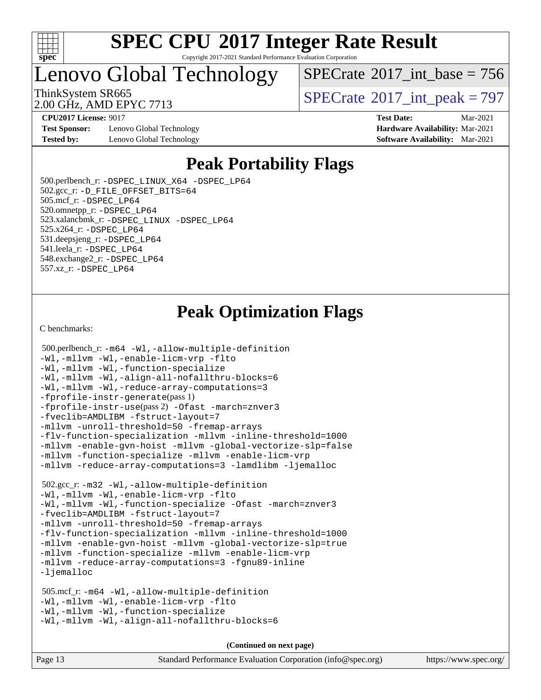

Copyright 2017-2021 Standard Performance Evaluation Corporation

Lenovo Global Technology

 $SPECTate$ <sup>®</sup>[2017\\_int\\_base =](http://www.spec.org/auto/cpu2017/Docs/result-fields.html#SPECrate2017intbase) 756

2.00 GHz, AMD EPYC 7713

ThinkSystem SR665<br>2.00 GHz, AMD EPVC 7713

**[CPU2017 License:](http://www.spec.org/auto/cpu2017/Docs/result-fields.html#CPU2017License)** 9017 **[Test Date:](http://www.spec.org/auto/cpu2017/Docs/result-fields.html#TestDate)** Mar-2021

**[Test Sponsor:](http://www.spec.org/auto/cpu2017/Docs/result-fields.html#TestSponsor)** Lenovo Global Technology **[Hardware Availability:](http://www.spec.org/auto/cpu2017/Docs/result-fields.html#HardwareAvailability)** Mar-2021 **[Tested by:](http://www.spec.org/auto/cpu2017/Docs/result-fields.html#Testedby)** Lenovo Global Technology **[Software Availability:](http://www.spec.org/auto/cpu2017/Docs/result-fields.html#SoftwareAvailability)** Mar-2021

# **[Peak Portability Flags](http://www.spec.org/auto/cpu2017/Docs/result-fields.html#PeakPortabilityFlags)**

 500.perlbench\_r: [-DSPEC\\_LINUX\\_X64](http://www.spec.org/cpu2017/results/res2021q2/cpu2017-20210329-25443.flags.html#b500.perlbench_r_peakPORTABILITY_DSPEC_LINUX_X64) [-DSPEC\\_LP64](http://www.spec.org/cpu2017/results/res2021q2/cpu2017-20210329-25443.flags.html#b500.perlbench_r_peakEXTRA_PORTABILITY_DSPEC_LP64) 502.gcc\_r: [-D\\_FILE\\_OFFSET\\_BITS=64](http://www.spec.org/cpu2017/results/res2021q2/cpu2017-20210329-25443.flags.html#user_peakEXTRA_PORTABILITY502_gcc_r_F-D_FILE_OFFSET_BITS_5ae949a99b284ddf4e95728d47cb0843d81b2eb0e18bdfe74bbf0f61d0b064f4bda2f10ea5eb90e1dcab0e84dbc592acfc5018bc955c18609f94ddb8d550002c) 505.mcf\_r: [-DSPEC\\_LP64](http://www.spec.org/cpu2017/results/res2021q2/cpu2017-20210329-25443.flags.html#suite_peakEXTRA_PORTABILITY505_mcf_r_DSPEC_LP64) 520.omnetpp\_r: [-DSPEC\\_LP64](http://www.spec.org/cpu2017/results/res2021q2/cpu2017-20210329-25443.flags.html#suite_peakEXTRA_PORTABILITY520_omnetpp_r_DSPEC_LP64) 523.xalancbmk\_r: [-DSPEC\\_LINUX](http://www.spec.org/cpu2017/results/res2021q2/cpu2017-20210329-25443.flags.html#b523.xalancbmk_r_peakPORTABILITY_DSPEC_LINUX) [-DSPEC\\_LP64](http://www.spec.org/cpu2017/results/res2021q2/cpu2017-20210329-25443.flags.html#suite_peakEXTRA_PORTABILITY523_xalancbmk_r_DSPEC_LP64) 525.x264\_r: [-DSPEC\\_LP64](http://www.spec.org/cpu2017/results/res2021q2/cpu2017-20210329-25443.flags.html#suite_peakEXTRA_PORTABILITY525_x264_r_DSPEC_LP64) 531.deepsjeng\_r: [-DSPEC\\_LP64](http://www.spec.org/cpu2017/results/res2021q2/cpu2017-20210329-25443.flags.html#suite_peakEXTRA_PORTABILITY531_deepsjeng_r_DSPEC_LP64) 541.leela\_r: [-DSPEC\\_LP64](http://www.spec.org/cpu2017/results/res2021q2/cpu2017-20210329-25443.flags.html#suite_peakEXTRA_PORTABILITY541_leela_r_DSPEC_LP64) 548.exchange2\_r: [-DSPEC\\_LP64](http://www.spec.org/cpu2017/results/res2021q2/cpu2017-20210329-25443.flags.html#suite_peakEXTRA_PORTABILITY548_exchange2_r_DSPEC_LP64) 557.xz\_r: [-DSPEC\\_LP64](http://www.spec.org/cpu2017/results/res2021q2/cpu2017-20210329-25443.flags.html#suite_peakEXTRA_PORTABILITY557_xz_r_DSPEC_LP64)

### **[Peak Optimization Flags](http://www.spec.org/auto/cpu2017/Docs/result-fields.html#PeakOptimizationFlags)**

[C benchmarks](http://www.spec.org/auto/cpu2017/Docs/result-fields.html#Cbenchmarks):

```
 500.perlbench_r: -m64 -Wl,-allow-multiple-definition
-Wl,-mllvm -Wl,-enable-licm-vrp -flto
-Wl,-mllvm -Wl,-function-specialize
-Wl,-mllvm -Wl,-align-all-nofallthru-blocks=6
-Wl,-mllvm -Wl,-reduce-array-computations=3
-fprofile-instr-generate(pass 1)
-fprofile-instr-use(pass 2) -Ofast -march=znver3
-fveclib=AMDLIBM -fstruct-layout=7
-mllvm -unroll-threshold=50 -fremap-arrays
-flv-function-specialization -mllvm -inline-threshold=1000
-mllvm -enable-gvn-hoist -mllvm -global-vectorize-slp=false
-mllvm -function-specialize -mllvm -enable-licm-vrp
-mllvm -reduce-array-computations=3 -lamdlibm -ljemalloc
 502.gcc_r: -m32 -Wl,-allow-multiple-definition
-Wl,-mllvm -Wl,-enable-licm-vrp -flto
-Wl,-mllvm -Wl,-function-specialize -Ofast -march=znver3
-fveclib=AMDLIBM -fstruct-layout=7
-mllvm -unroll-threshold=50 -fremap-arrays
-flv-function-specialization -mllvm -inline-threshold=1000
-mllvm -enable-gvn-hoist -mllvm -global-vectorize-slp=true
-mllvm -function-specialize -mllvm -enable-licm-vrp
-mllvm -reduce-array-computations=3 -fgnu89-inline
-ljemalloc
 505.mcf_r: -m64 -Wl,-allow-multiple-definition
-Wl,-mllvm -Wl,-enable-licm-vrp -flto
-Wl,-mllvm -Wl,-function-specialize
-Wl,-mllvm -Wl,-align-all-nofallthru-blocks=6
```
**(Continued on next page)**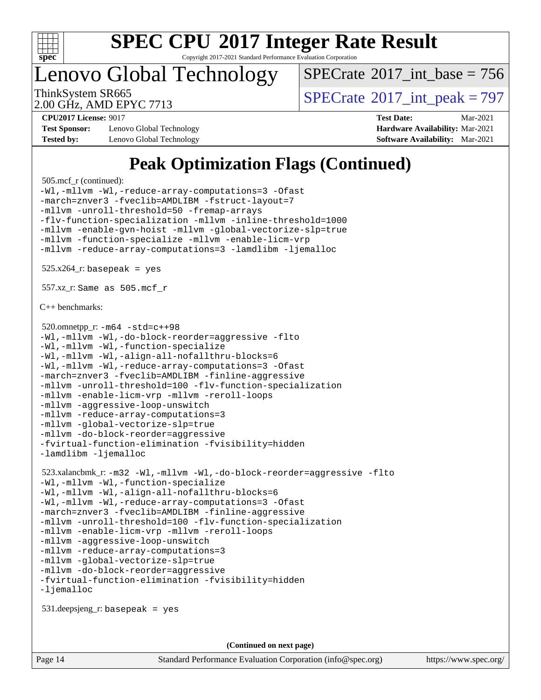

Copyright 2017-2021 Standard Performance Evaluation Corporation

Lenovo Global Technology

 $SPECTate$ <sup>®</sup>[2017\\_int\\_base =](http://www.spec.org/auto/cpu2017/Docs/result-fields.html#SPECrate2017intbase) 756

2.00 GHz, AMD EPYC 7713

ThinkSystem SR665<br>2.00 GHz, AMD EPYC 7713

**[Test Sponsor:](http://www.spec.org/auto/cpu2017/Docs/result-fields.html#TestSponsor)** Lenovo Global Technology **[Hardware Availability:](http://www.spec.org/auto/cpu2017/Docs/result-fields.html#HardwareAvailability)** Mar-2021 **[Tested by:](http://www.spec.org/auto/cpu2017/Docs/result-fields.html#Testedby)** Lenovo Global Technology **[Software Availability:](http://www.spec.org/auto/cpu2017/Docs/result-fields.html#SoftwareAvailability)** Mar-2021

**[CPU2017 License:](http://www.spec.org/auto/cpu2017/Docs/result-fields.html#CPU2017License)** 9017 **[Test Date:](http://www.spec.org/auto/cpu2017/Docs/result-fields.html#TestDate)** Mar-2021

### **[Peak Optimization Flags \(Continued\)](http://www.spec.org/auto/cpu2017/Docs/result-fields.html#PeakOptimizationFlags)**

```
 505.mcf_r (continued):
-Wl,-mllvm -Wl,-reduce-array-computations=3 -Ofast
-march=znver3 -fveclib=AMDLIBM -fstruct-layout=7
-mllvm -unroll-threshold=50 -fremap-arrays
-flv-function-specialization -mllvm -inline-threshold=1000
-mllvm -enable-gvn-hoist -mllvm -global-vectorize-slp=true
-mllvm -function-specialize -mllvm -enable-licm-vrp
-mllvm -reduce-array-computations=3 -lamdlibm -ljemalloc
525.x264<sup>r:</sup> basepeak = yes
 557.xz_r: Same as 505.mcf_r
C++ benchmarks: 
 520.omnetpp_r: -m64 -std=c++98
-Wl,-mllvm -Wl,-do-block-reorder=aggressive -flto
-Wl,-mllvm -Wl,-function-specialize
-Wl,-mllvm -Wl,-align-all-nofallthru-blocks=6
-Wl,-mllvm -Wl,-reduce-array-computations=3 -Ofast
-march=znver3 -fveclib=AMDLIBM -finline-aggressive
-mllvm -unroll-threshold=100 -flv-function-specialization
-mllvm -enable-licm-vrp -mllvm -reroll-loops
-mllvm -aggressive-loop-unswitch
-mllvm -reduce-array-computations=3
-mllvm -global-vectorize-slp=true
-mllvm -do-block-reorder=aggressive
-fvirtual-function-elimination -fvisibility=hidden
-lamdlibm -ljemalloc
 523.xalancbmk_r: -m32 -Wl,-mllvm -Wl,-do-block-reorder=aggressive -flto
-Wl,-mllvm -Wl,-function-specialize
-Wl,-mllvm -Wl,-align-all-nofallthru-blocks=6
-Wl,-mllvm -Wl,-reduce-array-computations=3 -Ofast
-march=znver3 -fveclib=AMDLIBM -finline-aggressive
-mllvm -unroll-threshold=100 -flv-function-specialization
-mllvm -enable-licm-vrp -mllvm -reroll-loops
-mllvm -aggressive-loop-unswitch
-mllvm -reduce-array-computations=3
-mllvm -global-vectorize-slp=true
-mllvm -do-block-reorder=aggressive
-fvirtual-function-elimination -fvisibility=hidden
-ljemalloc
 531.deepsjeng_r: basepeak = yes
                                     (Continued on next page)
```